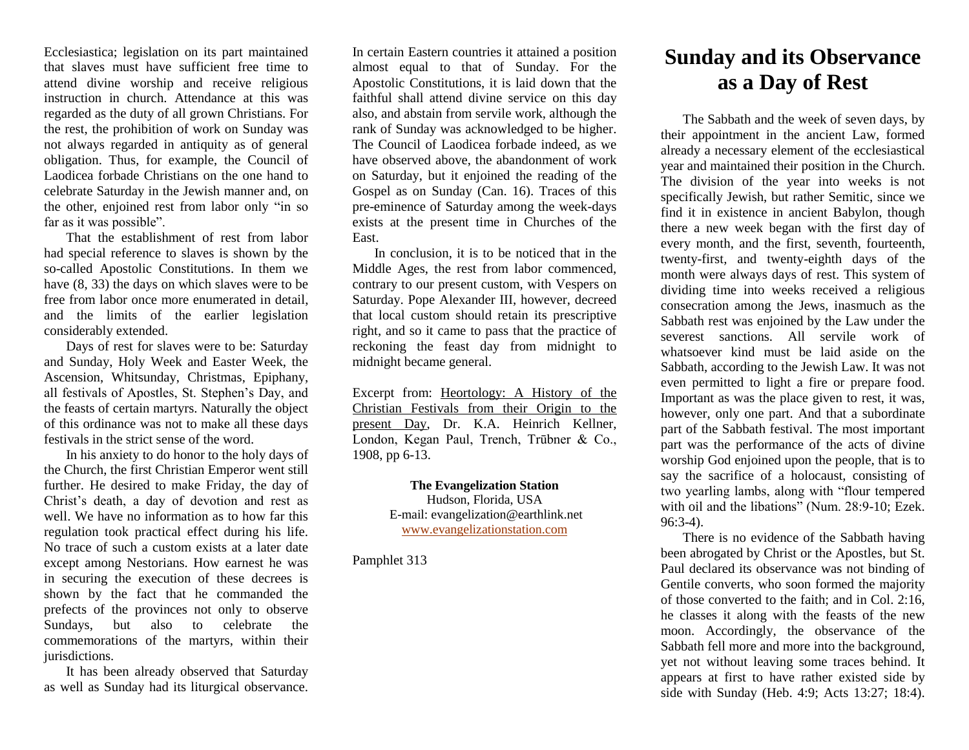Ecclesiastica; legislation on its part maintained that slaves must have sufficient free time to attend divine worship and receive religious instruction in church. Attendance at this was regarded as the duty of all grown Christians. For the rest, the prohibition of work on Sunday was not always regarded in antiquity as of general obligation. Thus, for example, the Council of Laodicea forbade Christians on the one hand to celebrate Saturday in the Jewish manner and, on the other, enjoined rest from labor only "in so far as it was possible".

That the establishment of rest from labor had special reference to slaves is shown by the so-called Apostolic Constitutions. In them we have (8, 33) the days on which slaves were to be free from labor once more enumerated in detail, and the limits of the earlier legislation considerably extended.

Days of rest for slaves were to be: Saturday and Sunday, Holy Week and Easter Week, the Ascension, Whitsunday, Christmas, Epiphany, all festivals of Apostles, St. Stephen's Day, and the feasts of certain martyrs. Naturally the object of this ordinance was not to make all these days festivals in the strict sense of the word.

In his anxiety to do honor to the holy days of the Church, the first Christian Emperor went still further. He desired to make Friday, the day of Christ's death, a day of devotion and rest as well. We have no information as to how far this regulation took practical effect during his life. No trace of such a custom exists at a later date except among Nestorians. How earnest he was in securing the execution of these decrees is shown by the fact that he commanded the prefects of the provinces not only to observe Sundays, but also to celebrate the commemorations of the martyrs, within their jurisdictions.

It has been already observed that Saturday as well as Sunday had its liturgical observance.

In certain Eastern countries it attained a position almost equal to that of Sunday. For the Apostolic Constitutions, it is laid down that the faithful shall attend divine service on this day also, and abstain from servile work, although the rank of Sunday was acknowledged to be higher. The Council of Laodicea forbade indeed, as we have observed above, the abandonment of work on Saturday, but it enjoined the reading of the Gospel as on Sunday (Can. 16). Traces of this pre-eminence of Saturday among the week-days exists at the present time in Churches of the East.

In conclusion, it is to be noticed that in the Middle Ages, the rest from labor commenced, contrary to our present custom, with Vespers on Saturday. Pope Alexander III, however, decreed that local custom should retain its prescriptive right, and so it came to pass that the practice of reckoning the feast day from midnight to midnight became general.

Excerpt from: Heortology: A History of the Christian Festivals from their Origin to the present Day, Dr. K.A. Heinrich Kellner, London, Kegan Paul, Trench, Trūbner & Co., 1908, pp 6-13.

> **The Evangelization Station** Hudson, Florida, USA E-mail: evangelization@earthlink.net [www.evangelizationstation.com](http://www.pjpiisoe.org/)

Pamphlet 313

## **Sunday and its Observance as a Day of Rest**

The Sabbath and the week of seven days, by their appointment in the ancient Law, formed already a necessary element of the ecclesiastical year and maintained their position in the Church. The division of the year into weeks is not specifically Jewish, but rather Semitic, since we find it in existence in ancient Babylon, though there a new week began with the first day of every month, and the first, seventh, fourteenth, twenty-first, and twenty-eighth days of the month were always days of rest. This system of dividing time into weeks received a religious consecration among the Jews, inasmuch as the Sabbath rest was enjoined by the Law under the severest sanctions. All servile work of whatsoever kind must be laid aside on the Sabbath, according to the Jewish Law. It was not even permitted to light a fire or prepare food. Important as was the place given to rest, it was, however, only one part. And that a subordinate part of the Sabbath festival. The most important part was the performance of the acts of divine worship God enjoined upon the people, that is to say the sacrifice of a holocaust, consisting of two yearling lambs, along with "flour tempered with oil and the libations" (Num. 28:9-10; Ezek. 96:3-4).

There is no evidence of the Sabbath having been abrogated by Christ or the Apostles, but St. Paul declared its observance was not binding of Gentile converts, who soon formed the majority of those converted to the faith; and in Col. 2:16, he classes it along with the feasts of the new moon. Accordingly, the observance of the Sabbath fell more and more into the background, yet not without leaving some traces behind. It appears at first to have rather existed side by side with Sunday (Heb. 4:9; Acts 13:27; 18:4).